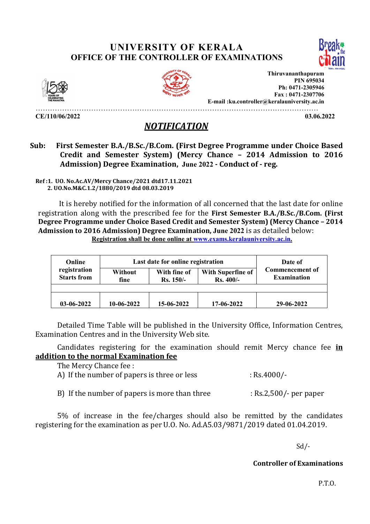## UNIVERSITY OF KERALA OFFICE OF THE CONTROLLER OF EXAMINATIONS





Thiruvananthapuram PIN 695034 Ph: 0471-2305946 Fax : 0471-2307706 E-mail :ku.controller@keralauniversity.ac.in

………………………………………………………………………………………………………

 $CE/110/06/2022$  03.06.2022

## NOTIFICATION

## Sub: First Semester B.A./B.Sc./B.Com. (First Degree Programme under Choice Based Credit and Semester System) (Mercy Chance – 2014 Admission to 2016 Admission) Degree Examination, June 2022 - Conduct of - reg.

Ref :1. UO. No.Ac.AV/Mercy Chance/2021 dtd17.11.2021 2. UO.No.M&C.1.2/1880/2019 dtd 08.03.2019

 It is hereby notified for the information of all concerned that the last date for online registration along with the prescribed fee for the First Semester B.A./B.Sc./B.Com. (First Degree Programme under Choice Based Credit and Semester System) (Mercy Chance – 2014 Admission to 2016 Admission) Degree Examination, June 2022 is as detailed below: Registration shall be done online at www.exams.keralauniversity.ac.in.

| Online<br>registration<br><b>Starts from</b> | Without<br>fine | Last date for online registration<br>With Superfine of<br>With fine of<br>$Rs.400/-$<br>$Rs. 150/-$ |            | Date of<br><b>Commencement of</b><br><b>Examination</b> |
|----------------------------------------------|-----------------|-----------------------------------------------------------------------------------------------------|------------|---------------------------------------------------------|
| $03-06-2022$                                 | $10-06-2022$    | 15-06-2022                                                                                          | 17-06-2022 | 29-06-2022                                              |

Detailed Time Table will be published in the University Office, Information Centres, Examination Centres and in the University Web site.

Candidates registering for the examination should remit Mercy chance fee in addition to the normal Examination fee

The Mercy Chance fee :

- A) If the number of papers is three or less : Rs.4000/-
- B) If the number of papers is more than three : Rs.2,500/- per paper

5% of increase in the fee/charges should also be remitted by the candidates registering for the examination as per U.O. No. Ad.A5.03/9871/2019 dated 01.04.2019.

Sd/-

Controller of Examinations

P.T.O.